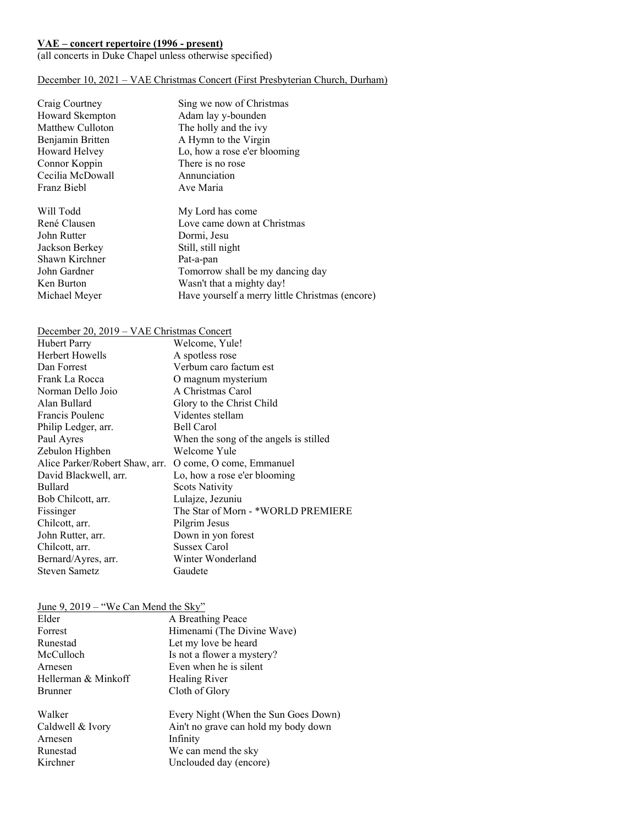# **VAE – concert repertoire (1996 - present)**

(all concerts in Duke Chapel unless otherwise specified)

# December 10, 2021 – VAE Christmas Concert (First Presbyterian Church, Durham)

| Craig Courtney   | Sing we now of Christmas                        |
|------------------|-------------------------------------------------|
| Howard Skempton  | Adam lay y-bounden                              |
| Matthew Culloton | The holly and the ivy                           |
| Benjamin Britten | A Hymn to the Virgin                            |
| Howard Helvey    | Lo, how a rose e'er blooming                    |
| Connor Koppin    | There is no rose                                |
| Cecilia McDowall | Annunciation                                    |
| Franz Biebl      | Ave Maria                                       |
| Will Todd        | My Lord has come                                |
| René Clausen     | Love came down at Christmas                     |
| John Rutter      | Dormi, Jesu                                     |
| Jackson Berkey   | Still, still night                              |
| Shawn Kirchner   | Pat-a-pan                                       |
| John Gardner     | Tomorrow shall be my dancing day                |
| Ken Burton       | Wasn't that a mighty day!                       |
| Michael Meyer    | Have yourself a merry little Christmas (encore) |

# December 20, 2019 – VAE Christmas Concert

| <b>Hubert Parry</b>            | Welcome, Yule!                         |
|--------------------------------|----------------------------------------|
| Herbert Howells                | A spotless rose                        |
| Dan Forrest                    | Verbum caro factum est                 |
| Frank La Rocca                 | O magnum mysterium                     |
| Norman Dello Joio              | A Christmas Carol                      |
| Alan Bullard                   | Glory to the Christ Child              |
| Francis Poulenc                | Videntes stellam                       |
| Philip Ledger, arr.            | Bell Carol                             |
| Paul Ayres                     | When the song of the angels is stilled |
| Zebulon Highben                | Welcome Yule                           |
| Alice Parker/Robert Shaw, arr. | O come, O come, Emmanuel               |
| David Blackwell, arr.          | Lo, how a rose e'er blooming           |
| <b>Bullard</b>                 | <b>Scots Nativity</b>                  |
| Bob Chilcott, arr.             | Lulajze, Jezuniu                       |
| Fissinger                      | The Star of Morn - *WORLD PREMIERE     |
| Chilcott, arr.                 | Pilgrim Jesus                          |
| John Rutter, arr.              | Down in yon forest                     |
| Chilcott, arr.                 | Sussex Carol                           |
| Bernard/Ayres, arr.            | Winter Wonderland                      |
| Steven Sametz                  | Gaudete                                |

### June 9, 2019 – "We Can Mend the Sky"

| Elder               | A Breathing Peace                    |
|---------------------|--------------------------------------|
| Forrest             | Himenami (The Divine Wave)           |
| Runestad            | Let my love be heard                 |
| McCulloch           | Is not a flower a mystery?           |
| Arnesen             | Even when he is silent               |
| Hellerman & Minkoff | Healing River                        |
| <b>Brunner</b>      | Cloth of Glory                       |
| Walker              | Every Night (When the Sun Goes Down) |
| Caldwell & Ivory    | Ain't no grave can hold my body down |
| Arnesen             | Infinity                             |
| Runestad            | We can mend the sky                  |
| Kirchner            | Unclouded day (encore)               |
|                     |                                      |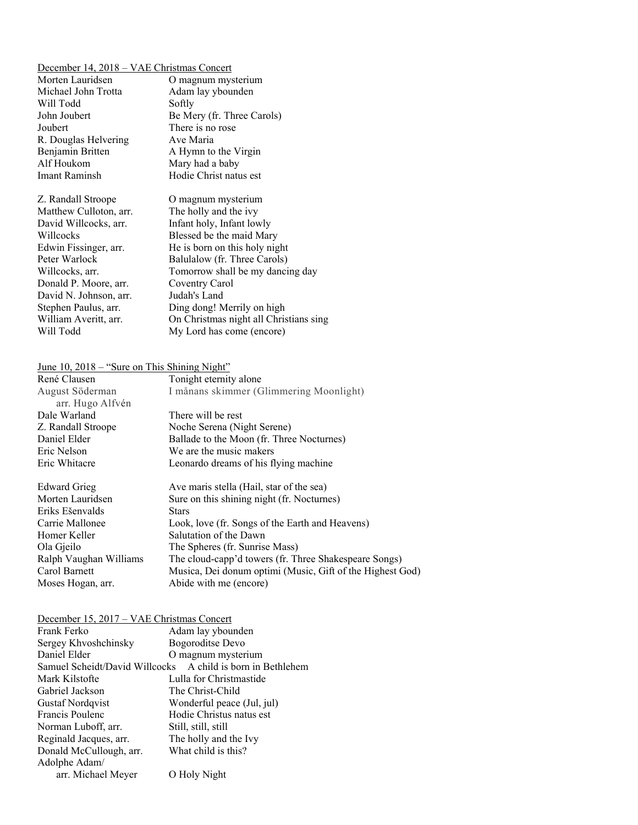## December 14, 2018 – VAE Christmas Concert

| <u> December 14, 2010 – VAL Christmas Concert</u> |                                        |
|---------------------------------------------------|----------------------------------------|
| Morten Lauridsen                                  | O magnum mysterium                     |
| Michael John Trotta                               | Adam lay ybounden                      |
| Will Todd                                         | Softly                                 |
| John Joubert                                      | Be Mery (fr. Three Carols)             |
| Joubert                                           | There is no rose                       |
| R. Douglas Helvering                              | Ave Maria                              |
| Benjamin Britten                                  | A Hymn to the Virgin                   |
| Alf Houkom                                        | Mary had a baby                        |
| Imant Raminsh                                     | Hodie Christ natus est                 |
| Z. Randall Stroope                                | O magnum mysterium                     |
| Matthew Culloton, arr.                            | The holly and the ivy                  |
| David Willcocks, arr.                             | Infant holy, Infant lowly              |
| Willcocks                                         | Blessed be the maid Mary               |
| Edwin Fissinger, arr.                             | He is born on this holy night          |
| Peter Warlock                                     | Balulalow (fr. Three Carols)           |
| Willcocks, arr.                                   | Tomorrow shall be my dancing day       |
| Donald P. Moore, arr.                             | Coventry Carol                         |
| David N. Johnson, arr.                            | Judah's Land                           |
| Stephen Paulus, arr.                              | Ding dong! Merrily on high             |
| William Averitt, arr.                             | On Christmas night all Christians sing |
| Will Todd                                         | My Lord has come (encore)              |

## June 10, 2018 – "Sure on This Shining Night"

| René Clausen           | Tonight eternity alone                                    |
|------------------------|-----------------------------------------------------------|
| August Söderman        | I månans skimmer (Glimmering Moonlight)                   |
| arr. Hugo Alfvén       |                                                           |
| Dale Warland           | There will be rest                                        |
| Z. Randall Stroope     | Noche Serena (Night Serene)                               |
| Daniel Elder           | Ballade to the Moon (fr. Three Nocturnes)                 |
| Eric Nelson            | We are the music makers                                   |
| Eric Whitacre          | Leonardo dreams of his flying machine                     |
| <b>Edward Grieg</b>    | Ave maris stella (Hail, star of the sea)                  |
| Morten Lauridsen       | Sure on this shining night (fr. Nocturnes)                |
| Eriks Ešenvalds        | <b>Stars</b>                                              |
| Carrie Mallonee        | Look, love (fr. Songs of the Earth and Heavens)           |
| Homer Keller           | Salutation of the Dawn                                    |
| Ola Gjeilo             | The Spheres (fr. Sunrise Mass)                            |
| Ralph Vaughan Williams | The cloud-capp'd towers (fr. Three Shakespeare Songs)     |
| Carol Barnett          | Musica, Dei donum optimi (Music, Gift of the Highest God) |
| Moses Hogan, arr.      | Abide with me (encore)                                    |
|                        |                                                           |

## December 15, 2017 – VAE Christmas Concert

| Frank Ferko                    | Adam lay ybounden            |
|--------------------------------|------------------------------|
| Sergey Khvoshchinsky           | <b>Bogoroditse Devo</b>      |
| Daniel Elder                   | O magnum mysterium           |
| Samuel Scheidt/David Willcocks | A child is born in Bethlehem |
| Mark Kilstofte                 | Lulla for Christmastide      |
| Gabriel Jackson                | The Christ-Child             |
| Gustaf Nordqvist               | Wonderful peace (Jul, jul)   |
| Francis Poulenc                | Hodie Christus natus est     |
| Norman Luboff, arr.            | Still, still, still          |
| Reginald Jacques, arr.         | The holly and the Ivy        |
| Donald McCullough, arr.        | What child is this?          |
| Adolphe Adam/                  |                              |
| arr. Michael Meyer             | O Holy Night                 |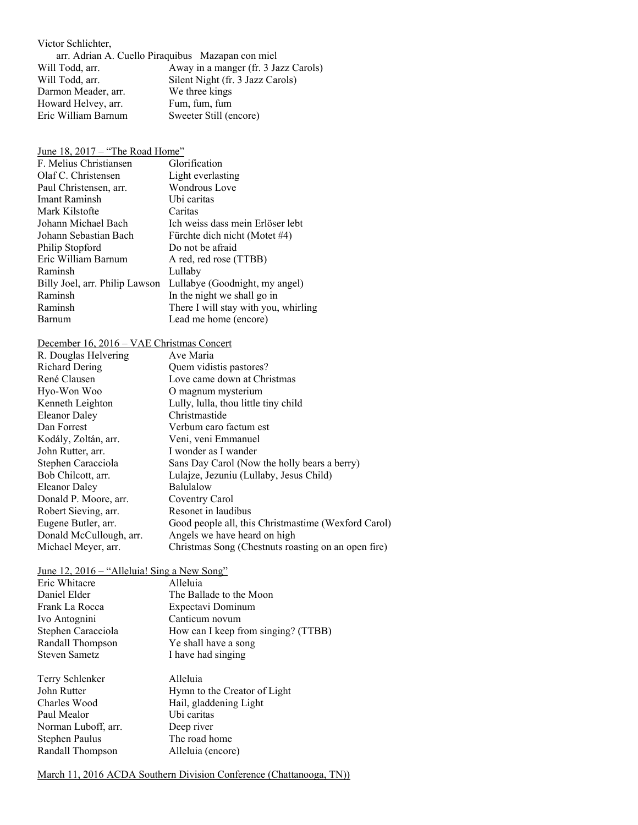Victor Schlichter, arr. Adrian A. Cuello Piraquibus Mazapan con miel Will Todd, arr.<br>
Mill Todd, arr.<br>
Silent Night (fr. 3 Jazz Carols) Silent Night (fr. 3 Jazz Carols) Darmon Meader, arr.<br>
We three kings<br>
Howard Helvey, arr.<br>
Fum, fum, fum Howard Helvey, arr.<br>Eric William Barnum Sweeter Still (encore)

#### June 18, 2017 – "The Road Home"

| F. Melius Christiansen         | Glorification                        |
|--------------------------------|--------------------------------------|
| Olaf C. Christensen            | Light everlasting                    |
| Paul Christensen, arr.         | Wondrous Love                        |
| Imant Raminsh                  | Ubi caritas                          |
| Mark Kilstofte                 | Caritas                              |
| Johann Michael Bach            | Ich weiss dass mein Erlöser lebt     |
| Johann Sebastian Bach          | Fürchte dich nicht (Motet #4)        |
| Philip Stopford                | Do not be afraid                     |
| Eric William Barnum            | A red, red rose (TTBB)               |
| Raminsh                        | Lullaby                              |
| Billy Joel, arr. Philip Lawson | Lullabye (Goodnight, my angel)       |
| Raminsh                        | In the night we shall go in          |
| Raminsh                        | There I will stay with you, whirling |
| Barnum                         | Lead me home (encore)                |
|                                |                                      |

## December 16, 2016 – VAE Christmas Concert

| Sans Day Carol (Now the holly bears a berry)        |
|-----------------------------------------------------|
|                                                     |
|                                                     |
|                                                     |
|                                                     |
| Good people all, this Christmastime (Wexford Carol) |
|                                                     |
| Christmas Song (Chestnuts roasting on an open fire) |
|                                                     |

#### June 12, 2016 – "Alleluia! Sing a New Song"

| Eric Whitacre        | Alleluia                            |
|----------------------|-------------------------------------|
| Daniel Elder         | The Ballade to the Moon             |
| Frank La Rocca       | Expectavi Dominum                   |
| Ivo Antognini        | Canticum novum                      |
| Stephen Caracciola   | How can I keep from singing? (TTBB) |
| Randall Thompson     | Ye shall have a song                |
| <b>Steven Sametz</b> | I have had singing                  |
|                      |                                     |

| Terry Schlenker       | Alleluia                     |
|-----------------------|------------------------------|
| John Rutter           | Hymn to the Creator of Light |
| Charles Wood          | Hail, gladdening Light       |
| Paul Mealor           | Ubi caritas                  |
| Norman Luboff, arr.   | Deep river                   |
| <b>Stephen Paulus</b> | The road home                |
| Randall Thompson      | Alleluia (encore)            |
|                       |                              |

#### March 11, 2016 ACDA Southern Division Conference (Chattanooga, TN))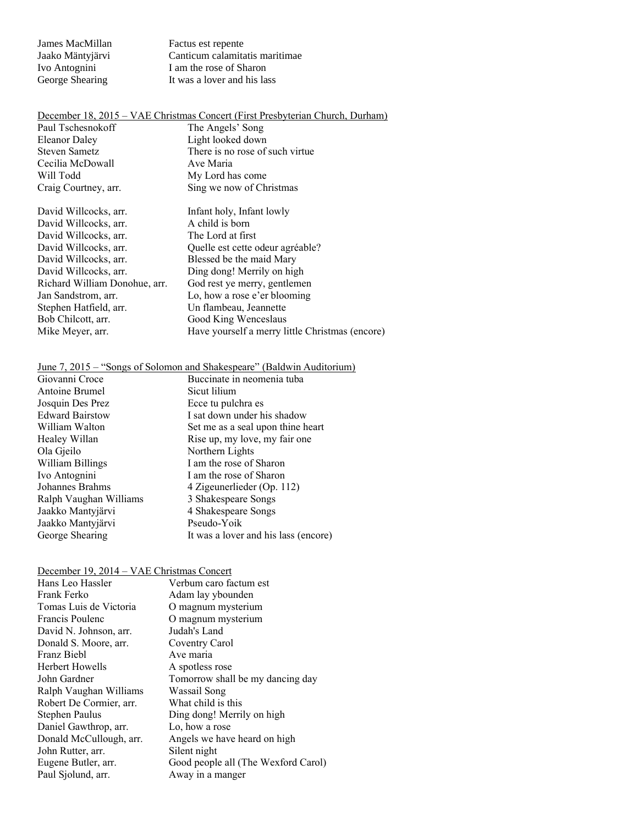James MacMillan Factus est repente Jaako Mäntyjärvi Canticum calamitatis maritimae Ivo Antognini I am the rose of Sharon<br>George Shearing It was a lover and his last It was a lover and his lass

# December 18, 2015 – VAE Christmas Concert (First Presbyterian Church, Durham)

| The Angels' Song                                |
|-------------------------------------------------|
| Light looked down                               |
| There is no rose of such virtue                 |
| Ave Maria                                       |
| My Lord has come                                |
| Sing we now of Christmas                        |
| Infant holy, Infant lowly                       |
| A child is born                                 |
| The Lord at first                               |
| Quelle est cette odeur agréable?                |
| Blessed be the maid Mary                        |
| Ding dong! Merrily on high                      |
| God rest ye merry, gentlemen                    |
| Lo, how a rose e'er blooming                    |
| Un flambeau, Jeannette                          |
| Good King Wenceslaus                            |
| Have yourself a merry little Christmas (encore) |
|                                                 |

#### June 7, 2015 – "Songs of Solomon and Shakespeare" (Baldwin Auditorium)

| Giovanni Croce         | Buccinate in neomenia tuba           |
|------------------------|--------------------------------------|
| Antoine Brumel         | Sicut lilium                         |
| Josquin Des Prez       | Ecce tu pulchra es                   |
| <b>Edward Bairstow</b> | I sat down under his shadow          |
| William Walton         | Set me as a seal upon thine heart    |
| Healey Willan          | Rise up, my love, my fair one        |
| Ola Gjeilo             | Northern Lights                      |
| William Billings       | I am the rose of Sharon              |
| Ivo Antognini          | I am the rose of Sharon              |
| Johannes Brahms        | 4 Zigeunerlieder (Op. 112)           |
| Ralph Vaughan Williams | 3 Shakespeare Songs                  |
| Jaakko Mantyjärvi      | 4 Shakespeare Songs                  |
| Jaakko Mantyjärvi      | Pseudo-Yoik                          |
| George Shearing        | It was a lover and his lass (encore) |

### December 19, 2014 – VAE Christmas Concert

| Hans Leo Hassler        | Verbum caro factum est              |
|-------------------------|-------------------------------------|
| Frank Ferko             | Adam lay ybounden                   |
| Tomas Luis de Victoria  | O magnum mysterium                  |
| Francis Poulenc         | O magnum mysterium                  |
| David N. Johnson, arr.  | Judah's Land                        |
| Donald S. Moore, arr.   | Coventry Carol                      |
| Franz Biebl             | Ave maria                           |
| Herbert Howells         | A spotless rose                     |
| John Gardner            | Tomorrow shall be my dancing day    |
| Ralph Vaughan Williams  | Wassail Song                        |
| Robert De Cormier, arr. | What child is this                  |
| Stephen Paulus          | Ding dong! Merrily on high          |
| Daniel Gawthrop, arr.   | Lo, how a rose                      |
| Donald McCullough, arr. | Angels we have heard on high        |
| John Rutter, arr.       | Silent night                        |
| Eugene Butler, arr.     | Good people all (The Wexford Carol) |
| Paul Sjolund, arr.      | Away in a manger                    |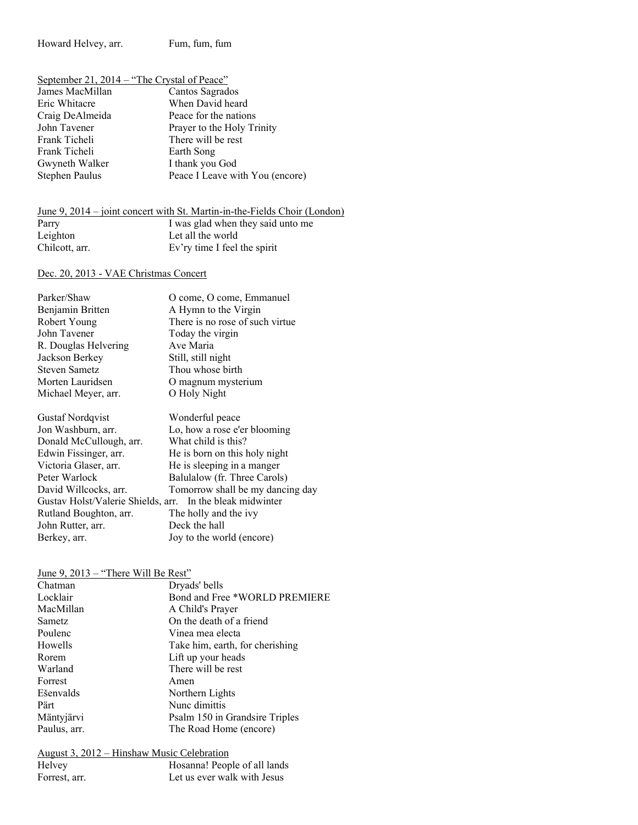#### Howard Helvey, arr. Fum, fum, fum

### September 21, 2014 – "The Crystal of Peace"

| James MacMillan       | Cantos Sagrados                 |
|-----------------------|---------------------------------|
| Eric Whitacre         | When David heard                |
| Craig DeAlmeida       | Peace for the nations           |
| John Tavener          | Prayer to the Holy Trinity      |
| Frank Ticheli         | There will be rest              |
| Frank Ticheli         | Earth Song                      |
| Gwyneth Walker        | I thank you God                 |
| <b>Stephen Paulus</b> | Peace I Leave with You (encore) |

|                | June 9, $2014$ – joint concert with St. Martin-in-the-Fields Choir (London) |
|----------------|-----------------------------------------------------------------------------|
| Parry          | I was glad when they said unto me                                           |
| Leighton       | Let all the world                                                           |
| Chilcott, arr. | Ev'ry time I feel the spirit                                                |

## Dec. 20, 2013 - VAE Christmas Concert

| Parker/Shaw          | O come, O come, Emmanuel        |
|----------------------|---------------------------------|
| Benjamin Britten     | A Hymn to the Virgin            |
| Robert Young         | There is no rose of such virtue |
| John Tavener         | Today the virgin                |
| R. Douglas Helvering | Ave Maria                       |
| Jackson Berkey       | Still, still night              |
| Steven Sametz        | Thou whose birth                |
| Morten Lauridsen     | O magnum mysterium              |
| Michael Meyer, arr.  | O Holy Night                    |
|                      |                                 |

| <b>Gustaf Nordqvist</b>                                   | Wonderful peace                  |
|-----------------------------------------------------------|----------------------------------|
| Jon Washburn, arr.                                        | Lo, how a rose e'er blooming     |
| Donald McCullough, arr.                                   | What child is this?              |
| Edwin Fissinger, arr.                                     | He is born on this holy night    |
| Victoria Glaser, arr.                                     | He is sleeping in a manger       |
| Peter Warlock                                             | Balulalow (fr. Three Carols)     |
| David Willcocks, arr.                                     | Tomorrow shall be my dancing day |
| Gustav Holst/Valerie Shields, arr. In the bleak midwinter |                                  |
| Rutland Boughton, arr.                                    | The holly and the ivy            |
| John Rutter, arr.                                         | Deck the hall                    |
| Berkey, arr.                                              | Joy to the world (encore)        |

### June 9, 2013 – "There Will Be Rest"

| Chatman       | Dryads' bells                   |
|---------------|---------------------------------|
| Locklair      | Bond and Free *WORLD PREMIERE   |
| MacMillan     | A Child's Prayer                |
| <b>Sametz</b> | On the death of a friend        |
| Poulenc       | Vinea mea electa                |
| Howells       | Take him, earth, for cherishing |
| Rorem         | Lift up your heads              |
| Warland       | There will be rest              |
| Forrest       | Amen                            |
| Ešenvalds     | Northern Lights                 |
| Pärt          | Nunc dimittis                   |
| Mäntyjärvi    | Psalm 150 in Grandsire Triples  |
| Paulus, arr.  | The Road Home (encore)          |
|               |                                 |

August 3, 2012 – Hinshaw Music Celebration Helvey Hosanna! People of all lands<br>Forrest, arr. Let us ever walk with Jesus Let us ever walk with Jesus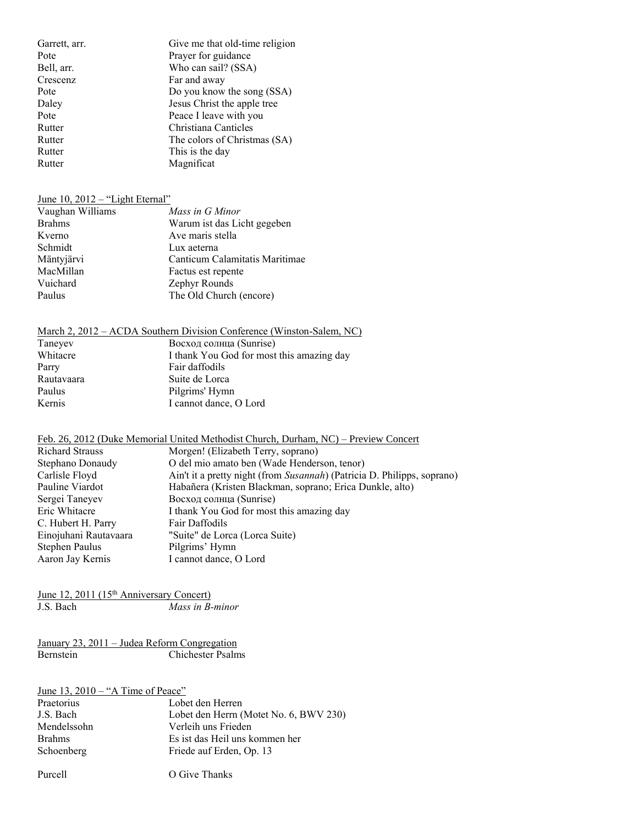| Garrett, arr. | Give me that old-time religion |
|---------------|--------------------------------|
| Pote          | Prayer for guidance            |
| Bell, arr.    | Who can sail? (SSA)            |
| Crescenz      | Far and away                   |
| Pote          | Do you know the song (SSA)     |
| Daley         | Jesus Christ the apple tree    |
| Pote          | Peace I leave with you         |
| Rutter        | Christiana Canticles           |
| Rutter        | The colors of Christmas (SA)   |
| Rutter        | This is the day                |
| Rutter        | Magnificat                     |

#### June 10, 2012 – "Light Eternal"

| Vaughan Williams | Mass in G Minor                |
|------------------|--------------------------------|
| <b>Brahms</b>    | Warum ist das Licht gegeben    |
| Kverno           | Ave maris stella               |
| Schmidt          | Lux aeterna                    |
| Mäntyjärvi       | Canticum Calamitatis Maritimae |
| MacMillan        | Factus est repente             |
| Vuichard         | Zephyr Rounds                  |
| Paulus           | The Old Church (encore)        |

#### March 2, 2012 – ACDA Southern Division Conference (Winston-Salem, NC)

| Taneyev    | Восход солнца (Sunrise)                   |
|------------|-------------------------------------------|
| Whitacre   | I thank You God for most this amazing day |
| Parry      | Fair daffodils                            |
| Rautavaara | Suite de Lorca                            |
| Paulus     | Pilgrims' Hymn                            |
| Kernis     | I cannot dance, O Lord                    |

## Feb. 26, 2012 (Duke Memorial United Methodist Church, Durham, NC) – Preview Concert

| <b>Richard Strauss</b> | Morgen! (Elizabeth Terry, soprano)                                      |
|------------------------|-------------------------------------------------------------------------|
| Stephano Donaudy       | O del mio amato ben (Wade Henderson, tenor)                             |
| Carlisle Floyd         | Ain't it a pretty night (from Susannah) (Patricia D. Philipps, soprano) |
| Pauline Viardot        | Habañera (Kristen Blackman, soprano; Erica Dunkle, alto)                |
| Sergei Taneyev         | Восход солнца (Sunrise)                                                 |
| Eric Whitacre          | I thank You God for most this amazing day                               |
| C. Hubert H. Parry     | Fair Daffodils                                                          |
| Einojuhani Rautavaara  | "Suite" de Lorca (Lorca Suite)                                          |
| Stephen Paulus         | Pilgrims' Hymn                                                          |
| Aaron Jay Kernis       | I cannot dance, O Lord                                                  |
|                        |                                                                         |

June 12, 2011 (15<sup>th</sup> Anniversary Concert)<br>J.S. Bach *Mass in B* Mass in B-minor

January 23, 2011 – Judea Reform Congregation Bernstein Chichester Psalms

| June 13, $2010 -$ "A Time of Peace" |                                        |
|-------------------------------------|----------------------------------------|
| Praetorius                          | Lobet den Herren                       |
| J.S. Bach                           | Lobet den Herrn (Motet No. 6, BWV 230) |
| Mendelssohn                         | Verleih uns Frieden                    |
| <b>Brahms</b>                       | Es ist das Heil uns kommen her         |
| Schoenberg                          | Friede auf Erden, Op. 13               |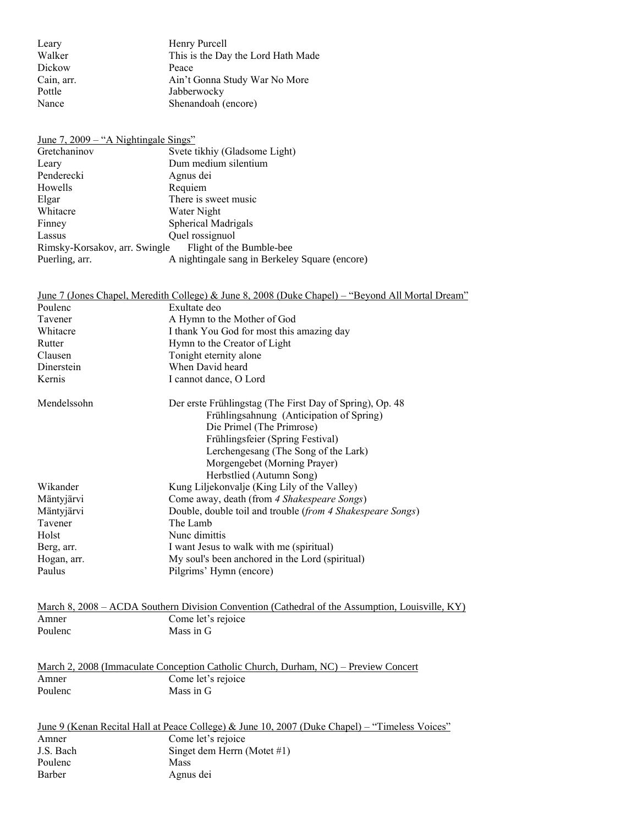| Leary      | Henry Purcell                      |
|------------|------------------------------------|
| Walker     | This is the Day the Lord Hath Made |
| Dickow     | Peace                              |
| Cain, arr. | Ain't Gonna Study War No More      |
| Pottle     | Jabberwocky                        |
| Nance      | Shenandoah (encore)                |

| <u>June 7, 2009 – "A Nightingale Sings"</u> |                                                |  |
|---------------------------------------------|------------------------------------------------|--|
| Gretchaninov                                | Svete tikhiy (Gladsome Light)                  |  |
| Leary                                       | Dum medium silentium                           |  |
| Penderecki                                  | Agnus dei                                      |  |
| Howells                                     | Requiem                                        |  |
| Elgar                                       | There is sweet music                           |  |
| Whitacre                                    | Water Night                                    |  |
| Finney                                      | Spherical Madrigals                            |  |
| Lassus                                      | Quel rossignuol                                |  |
| Rimsky-Korsakov, arr. Swingle               | Flight of the Bumble-bee                       |  |
| Puerling, arr.                              | A nightingale sang in Berkeley Square (encore) |  |

|             | June 7 (Jones Chapel, Meredith College) & June 8, 2008 (Duke Chapel) – "Beyond All Mortal Dream" |  |
|-------------|--------------------------------------------------------------------------------------------------|--|
| Poulenc     | Exultate deo                                                                                     |  |
| Tavener     | A Hymn to the Mother of God                                                                      |  |
| Whitacre    | I thank You God for most this amazing day                                                        |  |
| Rutter      | Hymn to the Creator of Light                                                                     |  |
| Clausen     | Tonight eternity alone                                                                           |  |
| Dinerstein  | When David heard                                                                                 |  |
| Kernis      | I cannot dance, O Lord                                                                           |  |
| Mendelssohn | Der erste Frühlingstag (The First Day of Spring), Op. 48                                         |  |
|             | Frühlingsahnung (Anticipation of Spring)                                                         |  |
|             | Die Primel (The Primrose)                                                                        |  |
|             | Frühlingsfeier (Spring Festival)                                                                 |  |
|             | Lerchengesang (The Song of the Lark)                                                             |  |
|             | Morgengebet (Morning Prayer)                                                                     |  |
|             | Herbstlied (Autumn Song)                                                                         |  |
| Wikander    | Kung Liljekonvalje (King Lily of the Valley)                                                     |  |
| Mäntyjärvi  | Come away, death (from 4 Shakespeare Songs)                                                      |  |
| Mäntyjärvi  | Double, double toil and trouble (from 4 Shakespeare Songs)                                       |  |
| Tavener     | The Lamb                                                                                         |  |
| Holst       | Nunc dimittis                                                                                    |  |
| Berg, arr.  | I want Jesus to walk with me (spiritual)                                                         |  |
| Hogan, arr. | My soul's been anchored in the Lord (spiritual)                                                  |  |
| Paulus      | Pilgrims' Hymn (encore)                                                                          |  |
|             |                                                                                                  |  |
|             | March 8, 2008 – ACDA Southern Division Convention (Cathedral of the Assumption, Louisville, KY)  |  |
| Amner       | Come let's rejoice                                                                               |  |
| Poulenc     | Mass in G                                                                                        |  |
|             |                                                                                                  |  |
|             | March 2, 2008 (Immaculate Conception Catholic Church, Durham, $NC$ ) – Preview Concert           |  |

|         | March 2, 2008 (Immaculate Conception Catholic Church, Durham, NC) – Preview Concert |
|---------|-------------------------------------------------------------------------------------|
| Amner   | Come let's rejoice                                                                  |
| Poulenc | Mass in G                                                                           |

|           | June 9 (Kenan Recital Hall at Peace College) & June 10, 2007 (Duke Chapel) – "Timeless Voices" |
|-----------|------------------------------------------------------------------------------------------------|
| Amner     | Come let's rejoice                                                                             |
| J.S. Bach | Singet dem Herrn (Motet #1)                                                                    |
| Poulenc   | Mass                                                                                           |
| Barber    | Agnus dei                                                                                      |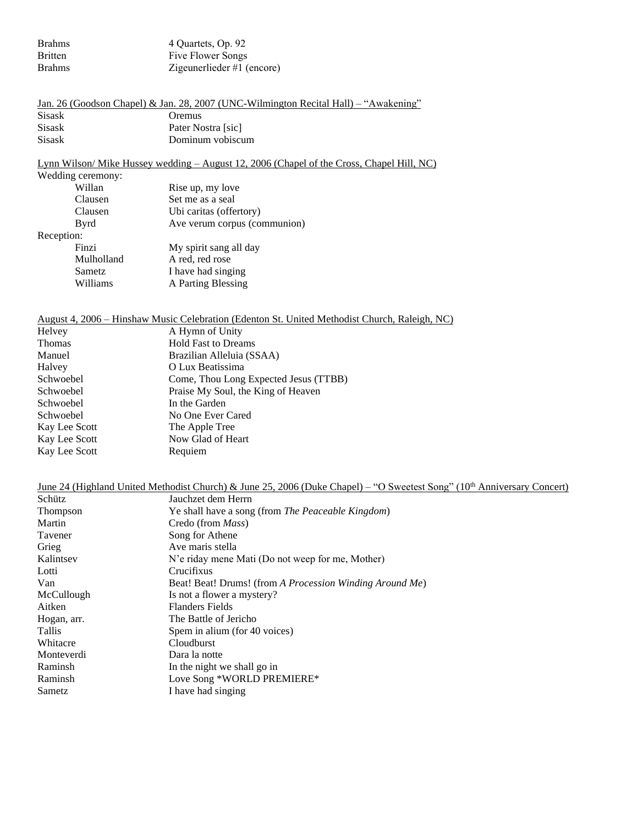| <b>Brahms</b>  | 4 Quartets, Op. 92         |
|----------------|----------------------------|
| <b>Britten</b> | Five Flower Songs          |
| <b>Brahms</b>  | Zigeunerlieder #1 (encore) |

| Jan. 26 (Goodson Chapel) & Jan. 28, 2007 (UNC-Wilmington Recital Hall) – "Awakening"       |                              |  |
|--------------------------------------------------------------------------------------------|------------------------------|--|
| <b>Sisask</b>                                                                              | Oremus                       |  |
| <b>Sisask</b>                                                                              | Pater Nostra [sic]           |  |
| <b>Sisask</b>                                                                              | Dominum vobiscum             |  |
|                                                                                            |                              |  |
| Lynn Wilson/Mike Hussey wedding $-$ August 12, 2006 (Chapel of the Cross, Chapel Hill, NC) |                              |  |
| Wedding ceremony:                                                                          |                              |  |
| Willan                                                                                     | Rise up, my love             |  |
| Clausen                                                                                    | Set me as a seal             |  |
| Clausen                                                                                    | Ubi caritas (offertory)      |  |
| Byrd                                                                                       | Ave verum corpus (communion) |  |

### Rece

| My spirit sang all day |
|------------------------|
| A red, red rose        |
| I have had singing     |
| A Parting Blessing     |
|                        |

# August 4, 2006 – Hinshaw Music Celebration (Edenton St. United Methodist Church, Raleigh, NC)

| A Hymn of Unity                       |
|---------------------------------------|
| <b>Hold Fast to Dreams</b>            |
| Brazilian Alleluia (SSAA)             |
| O Lux Beatissima                      |
| Come, Thou Long Expected Jesus (TTBB) |
| Praise My Soul, the King of Heaven    |
| In the Garden                         |
| No One Ever Cared                     |
| The Apple Tree                        |
| Now Glad of Heart                     |
| Requiem                               |
|                                       |

# June 24 (Highland United Methodist Church) & June 25, 2006 (Duke Chapel) – "O Sweetest Song" (10<sup>th</sup> Anniversary Concert)

| Schütz          | Jauchzet dem Herrn                                       |
|-----------------|----------------------------------------------------------|
| <b>Thompson</b> | Ye shall have a song (from The Peaceable Kingdom)        |
| Martin          | Credo (from Mass)                                        |
| Tavener         | Song for Athene                                          |
| Grieg           | Ave maris stella                                         |
| Kalintsev       | N'e riday mene Mati (Do not weep for me, Mother)         |
| Lotti           | Crucifixus                                               |
| Van             | Beat! Beat! Drums! (from A Procession Winding Around Me) |
| McCullough      | Is not a flower a mystery?                               |
| Aitken          | <b>Flanders Fields</b>                                   |
| Hogan, arr.     | The Battle of Jericho                                    |
| Tallis          | Spem in alium (for 40 voices)                            |
| Whitacre        | Cloudburst                                               |
| Monteverdi      | Dara la notte                                            |
| Raminsh         | In the night we shall go in                              |
| Raminsh         | Love Song *WORLD PREMIERE*                               |
| Sametz          | I have had singing                                       |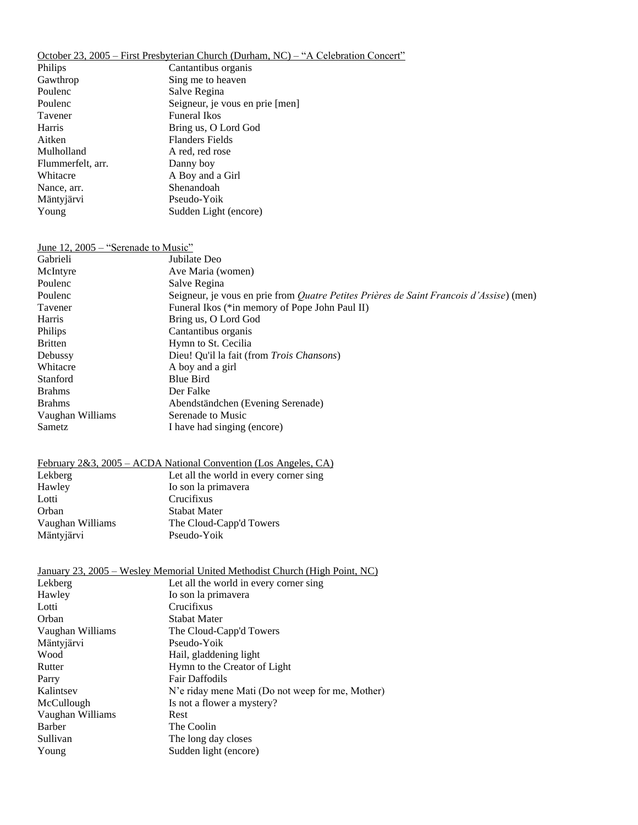October 23, 2005 – First Presbyterian Church (Durham, NC) – "A Celebration Concert"

| Philips           | Cantantibus organis             |
|-------------------|---------------------------------|
| Gawthrop          | Sing me to heaven               |
| Poulenc           | Salve Regina                    |
| Poulenc           | Seigneur, je vous en prie [men] |
| Tavener           | <b>Funeral Ikos</b>             |
| Harris            | Bring us, O Lord God            |
| Aitken            | <b>Flanders Fields</b>          |
| Mulholland        | A red, red rose                 |
| Flummerfelt, arr. | Danny boy                       |
| Whitacre          | A Boy and a Girl                |
| Nance, arr.       | Shenandoah                      |
| Mäntyjärvi        | Pseudo-Yoik                     |
| Young             | Sudden Light (encore)           |
|                   |                                 |

## June 12, 2005 – "Serenade to Music"

| Gabrieli         | Jubilate Deo                                                                                    |
|------------------|-------------------------------------------------------------------------------------------------|
| McIntyre         | Ave Maria (women)                                                                               |
| Poulenc          | Salve Regina                                                                                    |
| Poulenc          | Seigneur, je vous en prie from <i>Quatre Petites Prières de Saint Francois d'Assise</i> ) (men) |
| Tavener          | Funeral Ikos (*in memory of Pope John Paul II)                                                  |
| Harris           | Bring us, O Lord God                                                                            |
| Philips          | Cantantibus organis                                                                             |
| <b>Britten</b>   | Hymn to St. Cecilia                                                                             |
| Debussy          | Dieu! Qu'il la fait (from <i>Trois Chansons</i> )                                               |
| Whitacre         | A boy and a girl                                                                                |
| Stanford         | Blue Bird                                                                                       |
| <b>Brahms</b>    | Der Falke                                                                                       |
| <b>Brahms</b>    | Abendständchen (Evening Serenade)                                                               |
| Vaughan Williams | Serenade to Music                                                                               |
| Sametz           | I have had singing (encore)                                                                     |

### February 2&3, 2005 – ACDA National Convention (Los Angeles, CA)

| Lekberg          | Let all the world in every corner sing |
|------------------|----------------------------------------|
| Hawley           | Io son la primavera                    |
| Lotti            | Crucifixus                             |
| Orban            | <b>Stabat Mater</b>                    |
| Vaughan Williams | The Cloud-Capp'd Towers                |
| Mäntyjärvi       | Pseudo-Yoik                            |

## January 23, 2005 – Wesley Memorial United Methodist Church (High Point, NC)

| Lekberg          | Let all the world in every corner sing           |
|------------------|--------------------------------------------------|
| Hawley           | Io son la primavera                              |
| Lotti            | Crucifixus                                       |
| Orban            | Stabat Mater                                     |
| Vaughan Williams | The Cloud-Capp'd Towers                          |
| Mäntyjärvi       | Pseudo-Yoik                                      |
| Wood             | Hail, gladdening light                           |
| Rutter           | Hymn to the Creator of Light                     |
| Parry            | <b>Fair Daffodils</b>                            |
| Kalintsev        | N'e riday mene Mati (Do not weep for me, Mother) |
| McCullough       | Is not a flower a mystery?                       |
| Vaughan Williams | Rest                                             |
| Barber           | The Coolin                                       |
| Sullivan         | The long day closes                              |
| Young            | Sudden light (encore)                            |
|                  |                                                  |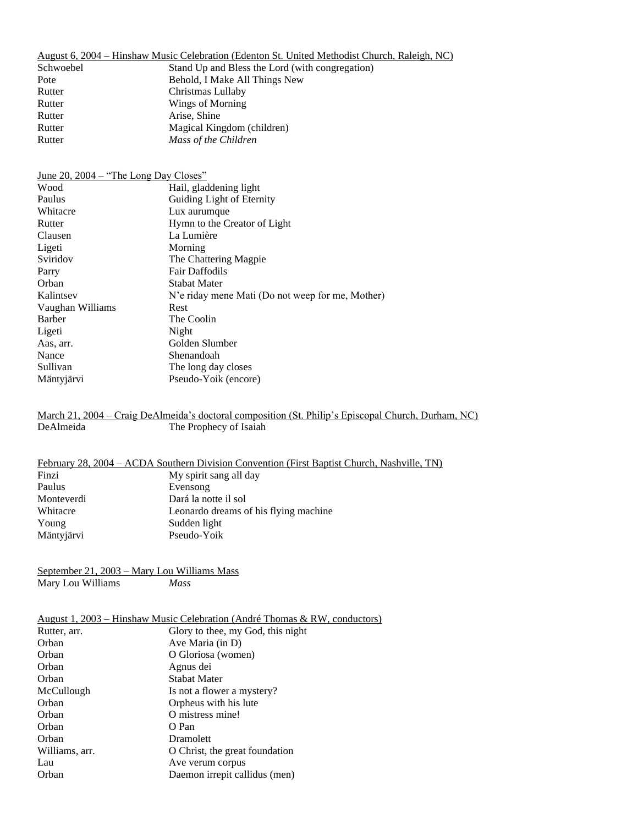|           | August 6, 2004 – Hinshaw Music Celebration (Edenton St. United Methodist Church, Raleigh, NC) |
|-----------|-----------------------------------------------------------------------------------------------|
| Schwoebel | Stand Up and Bless the Lord (with congregation)                                               |
| Pote      | Behold, I Make All Things New                                                                 |
| Rutter    | Christmas Lullaby                                                                             |
| Rutter    | Wings of Morning                                                                              |
| Rutter    | Arise, Shine                                                                                  |
| Rutter    | Magical Kingdom (children)                                                                    |
| Rutter    | Mass of the Children                                                                          |
|           |                                                                                               |

| June 20, $2004 -$ "The Long Day Closes" |                                                  |  |
|-----------------------------------------|--------------------------------------------------|--|
| Wood                                    | Hail, gladdening light                           |  |
| Paulus                                  | Guiding Light of Eternity                        |  |
| Whitacre                                | Lux aurumque                                     |  |
| Rutter                                  | Hymn to the Creator of Light                     |  |
| Clausen                                 | La Lumière                                       |  |
| Ligeti                                  | Morning                                          |  |
| Sviridov                                | The Chattering Magpie                            |  |
| Parry                                   | <b>Fair Daffodils</b>                            |  |
| Orban                                   | <b>Stabat Mater</b>                              |  |
| Kalintsev                               | N'e riday mene Mati (Do not weep for me, Mother) |  |
| Vaughan Williams                        | Rest                                             |  |
| Barber                                  | The Coolin                                       |  |
| Ligeti                                  | Night                                            |  |
| Aas, arr.                               | Golden Slumber                                   |  |
| Nance                                   | Shenandoah                                       |  |
| Sullivan                                | The long day closes                              |  |
| Mäntyjärvi                              | Pseudo-Yoik (encore)                             |  |

March 21, 2004 – Craig DeAlmeida's doctoral composition (St. Philip's Episcopal Church, Durham, NC) The Prophecy of Isaiah

| February 28, 2004 – ACDA Southern Division Convention (First Baptist Church, Nashville, TN) |                                       |  |
|---------------------------------------------------------------------------------------------|---------------------------------------|--|
| Finzi                                                                                       | My spirit sang all day                |  |
| Paulus                                                                                      | Evensong                              |  |
| Monteverdi                                                                                  | Dará la notte il sol                  |  |
| Whitacre                                                                                    | Leonardo dreams of his flying machine |  |
| Young                                                                                       | Sudden light                          |  |
| Mäntyjärvi                                                                                  | Pseudo-Yoik                           |  |

### September 21, 2003 – Mary Lou Williams Mass Mary Lou Williams *Mass*

Orban O mistress mine!

Lau Ave verum corpus

Orban Orban Dramo<br>
Dramo<br>
Dramo<br>
Dramo

| August 1, 2003 – Hinshaw Music Celebration (André Thomas & RW, conductors) |                                   |  |
|----------------------------------------------------------------------------|-----------------------------------|--|
| Rutter, arr.                                                               | Glory to thee, my God, this night |  |
| Orban                                                                      | Ave Maria (in D)                  |  |
| Orban                                                                      | O Gloriosa (women)                |  |
| Orban                                                                      | Agnus dei                         |  |
| Orban                                                                      | <b>Stabat Mater</b>               |  |
| McCullough                                                                 | Is not a flower a mystery?        |  |
| Orban                                                                      | Orpheus with his lute             |  |

Dramolett

Williams, arr. O Christ, the great foundation

Orban Daemon irrepit callidus (men)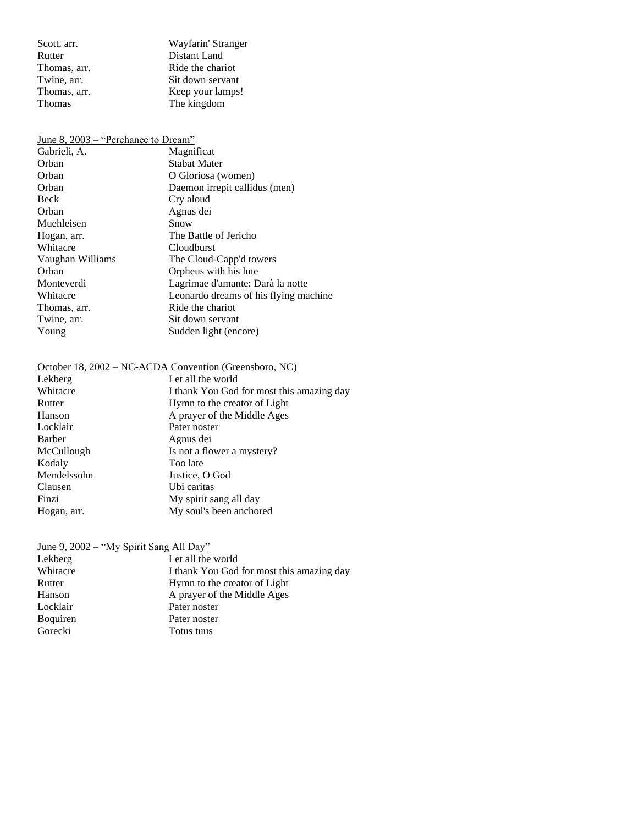| Scott, arr.  | Wayfarin' Stranger |
|--------------|--------------------|
| Rutter       | Distant Land       |
| Thomas, arr. | Ride the chariot   |
| Twine, arr.  | Sit down servant   |
| Thomas, arr. | Keep your lamps!   |
| Thomas       | The kingdom        |
|              |                    |

| June 8, 2003 – "Perchance to Dream" |                                       |  |
|-------------------------------------|---------------------------------------|--|
| Gabrieli, A.                        | Magnificat                            |  |
| Orban                               | Stabat Mater                          |  |
| Orban                               | O Gloriosa (women)                    |  |
| Orban                               | Daemon irrepit callidus (men)         |  |
| Beck                                | Cry aloud                             |  |
| Orban                               | Agnus dei                             |  |
| Muehleisen                          | Snow                                  |  |
| Hogan, arr.                         | The Battle of Jericho                 |  |
| Whitacre                            | Cloudburst                            |  |
| Vaughan Williams                    | The Cloud-Capp'd towers               |  |
| Orban                               | Orpheus with his lute                 |  |
| Monteverdi                          | Lagrimae d'amante: Darà la notte      |  |
| Whitacre                            | Leonardo dreams of his flying machine |  |
| Thomas, arr.                        | Ride the chariot                      |  |
| Twine, arr.                         | Sit down servant                      |  |
| Young                               | Sudden light (encore)                 |  |
|                                     |                                       |  |

## October 18, 2002 – NC-ACDA Convention (Greensboro, NC)

| Let all the world                         |
|-------------------------------------------|
| I thank You God for most this amazing day |
| Hymn to the creator of Light              |
| A prayer of the Middle Ages               |
| Pater noster                              |
| Agnus dei                                 |
| Is not a flower a mystery?                |
| Too late                                  |
| Justice, O God                            |
| Ubi caritas                               |
| My spirit sang all day                    |
| My soul's been anchored                   |
|                                           |

# June 9, 2002 – "My Spirit Sang All Day"

| Lekberg          | Let all the world                         |
|------------------|-------------------------------------------|
| Whitacre         | I thank You God for most this amazing day |
| Rutter           | Hymn to the creator of Light              |
| Hanson           | A prayer of the Middle Ages               |
| Locklair         | Pater noster                              |
| <b>B</b> oquiren | Pater noster                              |
| Gorecki          | Totus tuus                                |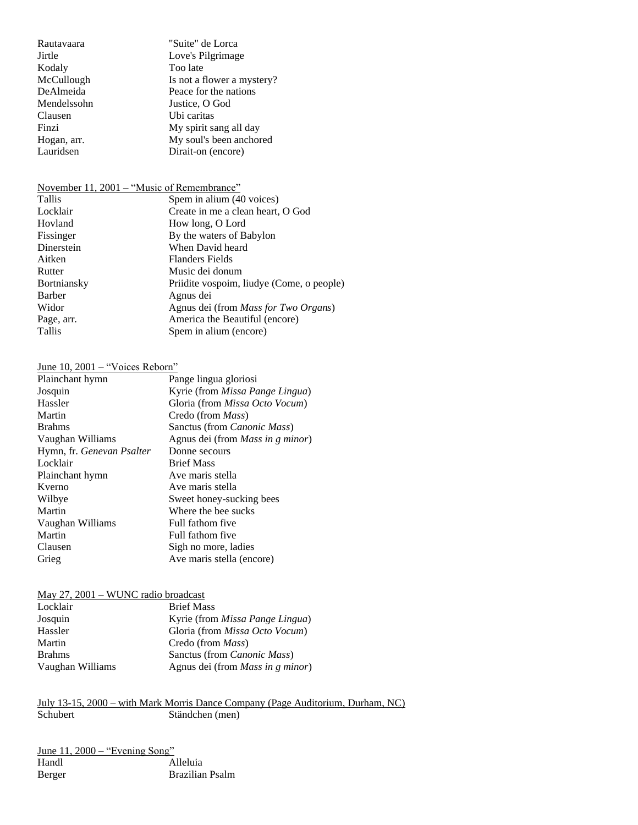| Rautavaara  | "Suite" de Lorca           |
|-------------|----------------------------|
| Jirtle      | Love's Pilgrimage          |
| Kodaly      | Too late                   |
| McCullough  | Is not a flower a mystery? |
| DeAlmeida   | Peace for the nations      |
| Mendelssohn | Justice, O God             |
| Clausen     | Ubi caritas                |
| Finzi       | My spirit sang all day     |
| Hogan, arr. | My soul's been anchored    |
| Lauridsen   | Dirait-on (encore)         |

# November 11, 2001 – "Music of Remembrance"

| Tallis              | Spem in alium (40 voices)                    |
|---------------------|----------------------------------------------|
| Locklair            | Create in me a clean heart, O God            |
| Hovland             | How long, O Lord                             |
| Fissinger           | By the waters of Babylon                     |
| Dinerstein          | When David heard                             |
| Aitken              | Flanders Fields                              |
| Rutter              | Music dei donum                              |
| <b>B</b> ortniansky | Priidite vospoim, liudye (Come, o people)    |
| Barber              | Agnus dei                                    |
| Widor               | Agnus dei (from <i>Mass for Two Organs</i> ) |
| Page, arr.          | America the Beautiful (encore)               |
| Tallis              | Spem in alium (encore)                       |
|                     |                                              |

## June 10, 2001 – "Voices Reborn"

| Plainchant hymn           | Pange lingua gloriosi                   |
|---------------------------|-----------------------------------------|
| Josquin                   | Kyrie (from <i>Missa Pange Lingua</i> ) |
| Hassler                   | Gloria (from <i>Missa Octo Vocum</i> )  |
| Martin                    | Credo (from <i>Mass</i> )               |
| <b>Brahms</b>             | Sanctus (from <i>Canonic Mass</i> )     |
| Vaughan Williams          | Agnus dei (from Mass in g minor)        |
| Hymn, fr. Genevan Psalter | Donne secours                           |
| Locklair                  | <b>Brief Mass</b>                       |
| Plainchant hymn           | Ave maris stella                        |
| Kverno                    | Ave maris stella                        |
| Wilbye                    | Sweet honey-sucking bees                |
| Martin                    | Where the bee sucks                     |
| Vaughan Williams          | Full fathom five                        |
| Martin                    | Full fathom five                        |
| Clausen                   | Sigh no more, ladies                    |
| Grieg                     | Ave maris stella (encore)               |

#### May 27, 2001 – WUNC radio broadcast

| Locklair         | <b>Brief Mass</b>                        |
|------------------|------------------------------------------|
| Josquin          | Kyrie (from <i>Missa Pange Lingua</i> )  |
| Hassler          | Gloria (from <i>Missa Octo Vocum</i> )   |
| Martin           | Credo (from <i>Mass</i> )                |
| <b>Brahms</b>    | Sanctus (from <i>Canonic Mass</i> )      |
| Vaughan Williams | Agnus dei (from <i>Mass in g minor</i> ) |

#### July 13-15, 2000 – with Mark Morris Dance Company (Page Auditorium, Durham, NC) Ständchen (men)

| June 11, $2000 -$ "Evening Song" |                        |
|----------------------------------|------------------------|
| Handl                            | Alleluia               |
| Berger                           | <b>Brazilian Psalm</b> |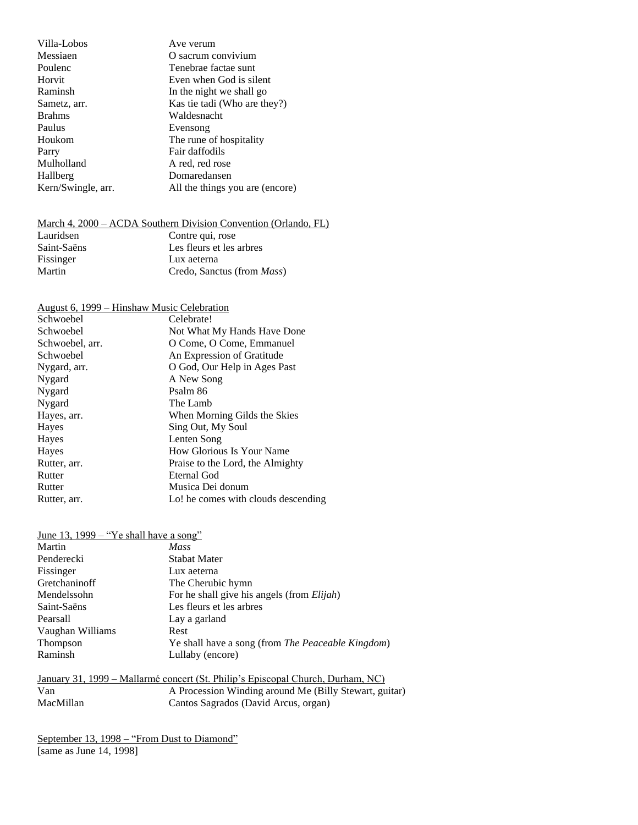| Ave verum                       |
|---------------------------------|
| O sacrum convivium              |
| Tenebrae factae sunt            |
| Even when God is silent         |
| In the night we shall go        |
| Kas tie tadi (Who are they?)    |
| Waldesnacht                     |
| Evensong                        |
| The rune of hospitality         |
| Fair daffodils                  |
| A red, red rose                 |
| Domaredansen                    |
| All the things you are (encore) |
|                                 |

## March 4, 2000 – ACDA Southern Division Convention (Orlando, FL)

| Lauridsen   | Contre qui, rose                   |
|-------------|------------------------------------|
| Saint-Saëns | Les fleurs et les arbres           |
| Fissinger   | Lux aeterna                        |
| Martin      | Credo, Sanctus (from <i>Mass</i> ) |

### August 6, 1999 – Hinshaw Music Celebration

| Celebrate!                          |
|-------------------------------------|
| Not What My Hands Have Done         |
| O Come, O Come, Emmanuel            |
| An Expression of Gratitude          |
| O God, Our Help in Ages Past        |
| A New Song                          |
| Psalm 86                            |
| The Lamb                            |
| When Morning Gilds the Skies        |
| Sing Out, My Soul                   |
| Lenten Song                         |
| <b>How Glorious Is Your Name</b>    |
| Praise to the Lord, the Almighty    |
| Eternal God                         |
| Musica Dei donum                    |
| Lo! he comes with clouds descending |
|                                     |

| June 13, 1999 – "Ye shall have a song" |                                                                                 |
|----------------------------------------|---------------------------------------------------------------------------------|
| Martin                                 | <b>Mass</b>                                                                     |
| Penderecki                             | Stabat Mater                                                                    |
| Fissinger                              | Lux aeterna                                                                     |
| Gretchaninoff                          | The Cherubic hymn                                                               |
| Mendelssohn                            | For he shall give his angels (from <i>Elijah</i> )                              |
| Saint-Saëns                            | Les fleurs et les arbres                                                        |
| Pearsall                               | Lay a garland                                                                   |
| Vaughan Williams                       | Rest                                                                            |
| Thompson                               | Ye shall have a song (from The Peaceable Kingdom)                               |
| Raminsh                                | Lullaby (encore)                                                                |
|                                        | January 31, 1999 – Mallarmé concert (St. Philip's Episcopal Church, Durham, NC) |
| $\mathbf{V}_{\mathbf{A}}$              | A Decession Winding second Mo (Dilly Chargest quite                             |

| Van       | A Procession Winding around Me (Billy Stewart, guitar) |
|-----------|--------------------------------------------------------|
| MacMillan | Cantos Sagrados (David Arcus, organ)                   |

September 13, 1998 – "From Dust to Diamond" [same as June 14, 1998]